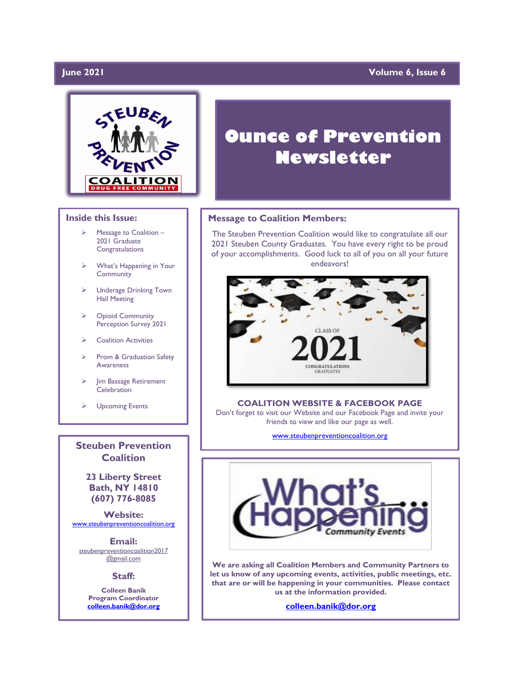# $I$ une 2021

# **Volume 6, Issue 6**



### **Inside this Issue:**

- Message to Coalition -2021 Graduate **Congratulations**
- ➢ What's Happening in Your Community
- ➢ Underage Drinking Town Hall Meeting
- ➢ Opioid Community Perception Survey 2021
- ➢ Coalition Activities
- Prom & Graduation Safety Awareness
- Jim Bassage Retirement **Celebration**
- ➢ Upcoming Events

**Steuben Prevention Coalition**

**23 Liberty Street Bath, NY 14810 (607) 776-8085**

**Website:**  [www.steubenpreventioncoalition.org](http://www.steubenpreventioncoalition.org/)

**Email:**  steubenpreventioncoalition2017 @gmail.com

**Staff:**

**Colleen Banik Program Coordinator [colleen.banik@dor.org](mailto:colleen.banik@dor.org)**

# **Ounce of Prevention Newsletter**

### **Message to Coalition Members:**

The Steuben Prevention Coalition would like to congratulate all our 2021 Steuben County Graduates. You have every right to be proud of your accomplishments. Good luck to all of you on all your future endeavors!



#### **COALITION WEBSITE & FACEBOOK PAGE**

Don't forget to visit our Website and our Facebook Page and invite your friends to view and like our page as well.

[www.steubenpreventioncoalition.org](http://www.steubenpreventioncoalition.org/)



**We are asking all Coalition Members and Community Partners to let us know of any upcoming events, activities, public meetings, etc. that are or will be happening in your communities. Please contact us at the information provided.**

**[colleen.banik@dor.org](mailto:colleen.banik@dor.org)**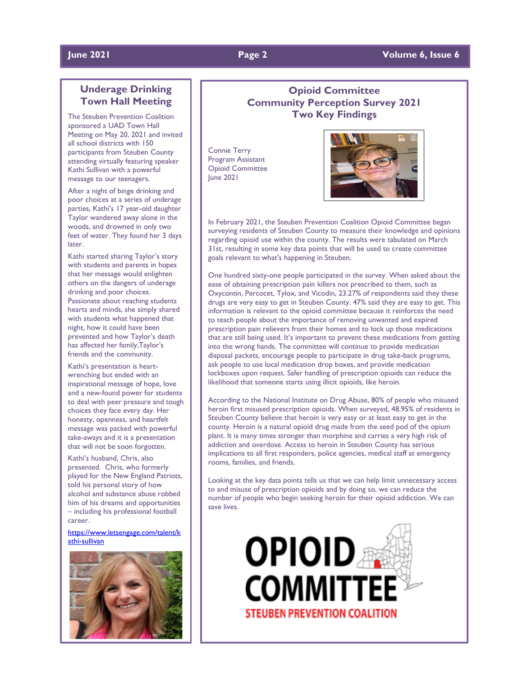# **June 2021 Page 2 Volume 6, Issue 6**

# **Underage Drinking Town Hall Meeting**

The Steuben Prevention Coalition sponsored a UAD Town Hall Meeting on May 20, 2021 and invited all school districts with 150 participants from Steuben County attending virtually featuring speaker Kathi Sullivan with a powerful message to our teenagers.

After a night of binge drinking and poor choices at a series of underage parties, Kathi's 17 year-old daughter Taylor wandered away alone in the woods, and drowned in only two feet of water. They found her 3 days later.

Kathi started sharing Taylor's story with students and parents in hopes that her message would enlighten others on the dangers of underage drinking and poor choices. Passionate about reaching students hearts and minds, she simply shared with students what happened that night, how it could have been prevented and how Taylor's death has affected her family,Taylor's friends and the community.

Kathi's presentation is heartwrenching but ended with an inspirational message of hope, love and a new-found power for students to deal with peer pressure and tough choices they face every day. Her honesty, openness, and heartfelt message was packed with powerful take-aways and it is a presentation that will not be soon forgotten.

Kathi's husband, Chris, also presented. Chris, who formerly played for the New England Patriots, told his personal story of how alcohol and substance abuse robbed him of his dreams and opportunities – including his professional football career.

[https://www.letsengage.com/talent/k](https://www.letsengage.com/talent/kathi-sullivan) [athi-sullivan](https://www.letsengage.com/talent/kathi-sullivan)



# **Opioid Committee Community Perception Survey 2021 Two Key Findings**

Connie Terry Program Assistant Opioid Committee June 2021



In February 2021, the Steuben Prevention Coalition Opioid Committee began surveying residents of Steuben County to measure their knowledge and opinions regarding opioid use within the county. The results were tabulated on March 31st, resulting in some key data points that will be used to create committee goals relevant to what's happening in Steuben.

One hundred sixty-one people participated in the survey. When asked about the ease of obtaining prescription pain killers not prescribed to them, such as Oxycontin, Percocet, Tylox, and Vicodin, 23.27% of respondents said they these drugs are very easy to get in Steuben County. 47% said they are easy to get. This information is relevant to the opioid committee because it reinforces the need to teach people about the importance of removing unwanted and expired prescription pain relievers from their homes and to lock up those medications that are still being used. It's important to prevent these medications from getting into the wrong hands. The committee will continue to provide medication disposal packets, encourage people to participate in drug take-back programs, ask people to use local medication drop boxes, and provide medication lockboxes upon request. Safer handling of prescription opioids can reduce the likelihood that someone starts using illicit opioids, like heroin.

According to the National Institute on Drug Abuse, 80% of people who misused heroin first misused prescription opioids. When surveyed, 48.95% of residents in Steuben County believe that heroin is very easy or at least easy to get in the county. Heroin is a natural opioid drug made from the seed pod of the opium plant. It is many times stronger than morphine and carries a very high risk of addiction and overdose. Access to heroin in Steuben County has serious implications to all first responders, police agencies, medical staff at emergency rooms, families, and friends.

Looking at the key data points tells us that we can help limit unnecessary access to and misuse of prescription opioids and by doing so, we can reduce the number of people who begin seeking heroin for their opioid addiction. We can save lives.

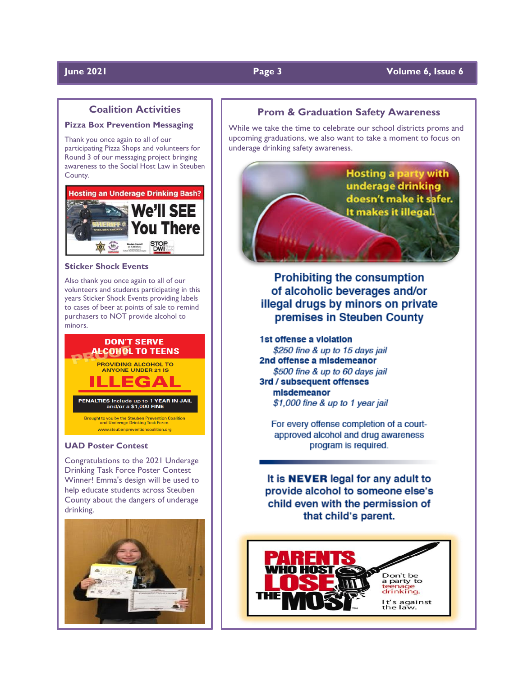# **June 2021 Page 3 Volume 6, Issue 6**

# **Coalition Activities**

### **Pizza Box Prevention Messaging**

Thank you once again to all of our participating Pizza Shops and volunteers for Round 3 of our messaging project bringing awareness to the Social Host Law in Steuben County.



#### **Sticker Shock Events**

Also thank you once again to all of our volunteers and students participating in this years Sticker Shock Events providing labels to cases of beer at points of sale to remind purchasers to NOT provide alcohol to minors.



#### **UAD Poster Contest**

Congratulations to the 2021 Underage Drinking Task Force Poster Contest Winner! Emma's design will be used to help educate students across Steuben County about the dangers of underage drinking.



# **Prom & Graduation Safety Awareness**

While we take the time to celebrate our school districts proms and upcoming graduations, we also want to take a moment to focus on underage drinking safety awareness.



**Prohibiting the consumption** of alcoholic beverages and/or illegal drugs by minors on private premises in Steuben County

1st offense a violation \$250 fine & up to 15 days jail 2nd offense a misdemeanor \$500 fine & up to 60 days jail 3rd / subsequent offenses misdemeanor \$1,000 fine & up to 1 year jail

For every offense completion of a courtapproved alcohol and drug awareness program is required.

It is **NEVER** legal for any adult to provide alcohol to someone else's child even with the permission of that child's parent.